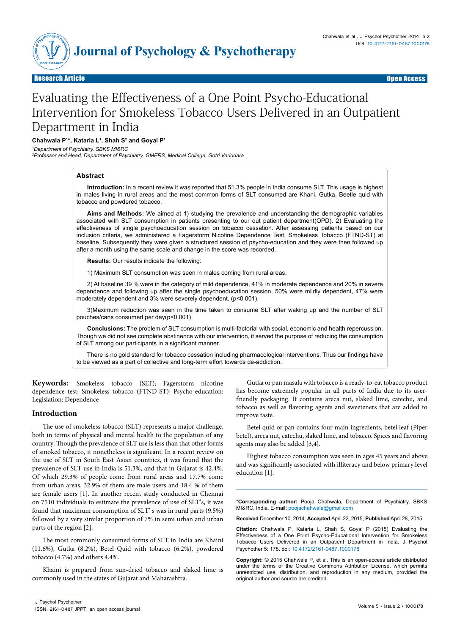

Research Article Open Access Research Article Open Access

# Evaluating the Effectiveness of a One Point Psycho-Educational Intervention for Smokeless Tobacco Users Delivered in an Outpatient Department in India

## **Chahwala P1 \*, Kataria L1 , Shah S2 and Goyal P1**

*1 Department of Psychiatry, SBKS MI&RC*

*2 Professor and Head, Department of Psychiatry, GMERS, Medical College, Gotri Vadodara*

## **Abstract**

**Introduction:** In a recent review it was reported that 51.3% people in India consume SLT. This usage is highest in males living in rural areas and the most common forms of SLT consumed are Khani, Gutka, Beetle quid with tobacco and powdered tobacco.

**Aims and Methods:** We aimed at 1) studying the prevalence and understanding the demographic variables associated with SLT consumption in patients presenting to our out patient department(OPD). 2) Evaluating the effectiveness of single psychoeducation session on tobacco cessation. After assessing patients based on our inclusion criteria, we administered a Fagerstorm Nicotine Dependence Test, Smokeless Tobacco (FTND-ST) at baseline. Subsequently they were given a structured session of psycho-education and they were then followed up after a month using the same scale and change in the score was recorded.

**Results:** Our results indicate the following:

1) Maximum SLT consumption was seen in males coming from rural areas.

2) At baseline 39 % were in the category of mild dependence, 41% in moderate dependence and 20% in severe dependence and following up after the single psychoeducation session, 50% were mildly dependent, 47% were moderately dependent and 3% were severely dependent. (p<0.001).

3)Maximum reduction was seen in the time taken to consume SLT after waking up and the number of SLT pouches/cans consumed per day(p<0.001)

**Conclusions:** The problem of SLT consumption is multi-factorial with social, economic and health repercussion. Though we did not see complete abstinence with our intervention, it served the purpose of reducing the consumption of SLT among our participants in a significant manner.

There is no gold standard for tobacco cessation including pharmacological interventions. Thus our findings have to be viewed as a part of collective and long-term effort towards de-addiction.

**Keywords:** Smokeless tobacco (SLT); Fagerstorm nicotine dependence test; Smokeless tobacco (FTND-ST); Psycho-education; Legislation; Dependence

## **Introduction**

The use of smokeless tobacco (SLT) represents a major challenge, both in terms of physical and mental health to the population of any country. Though the prevalence of SLT use is less than that other forms of smoked tobacco, it nonetheless is significant. In a recent review on the use of SLT in South East Asian countries, it was found that the prevalence of SLT use in India is 51.3%, and that in Gujarat is 42.4%. Of which 29.3% of people come from rural areas and 17.7% come from urban areas. 32.9% of them are male users and 18.4 % of them are female users [1]. In another recent study conducted in Chennai on 7510 individuals to estimate the prevalence of use of SLT's, it was found that maximum consumption of SLT' s was in rural parts (9.5%) followed by a very similar proportion of 7% in semi urban and urban parts of the region [2].

The most commonly consumed forms of SLT in India are Khaini (11.6%), Gutka (8.2%), Betel Quid with tobacco (6.2%), powdered tobacco (4.7%) and others 4.4%.

Khaini is prepared from sun-dried tobacco and slaked lime is commonly used in the states of Gujarat and Maharashtra.

Gutka or pan masala with tobacco is a ready-to-eat tobacco product has become extremely popular in all parts of India due to its userfriendly packaging. It contains areca nut, slaked lime, catechu, and tobacco as well as flavoring agents and sweeteners that are added to improve taste.

Betel quid or pan contains four main ingredients, betel leaf (Piper betel), areca nut, catechu, slaked lime, and tobacco. Spices and flavoring agents may also be added [3,4].

Highest tobacco consumption was seen in ages 45 years and above and was significantly associated with illiteracy and below primary level education [1].

**\*Corresponding author:** Pooja Chahwala, Department of Psychiatry, SBKS MI&RC, India, E-mail: poojachahwala@gmail.com

**Received** December 10, 2014; **Accepted** April 22, 2015; **Published** April 28, 2015

**Citation:** Chahwala P, Kataria L, Shah S, Goyal P (2015) Evaluating the Effectiveness of a One Point Psycho-Educational Intervention for Smokeless Tobacco Users Delivered in an Outpatient Department in India. J Psychol Psychother 5: 178. doi: 10.4172/2161-0487.1000178

**Copyright:** © 2015 Chahwala P, et al. This is an open-access article distributed under the terms of the Creative Commons Attribution License, which permits unrestricted use, distribution, and reproduction in any medium, provided the original author and source are credited.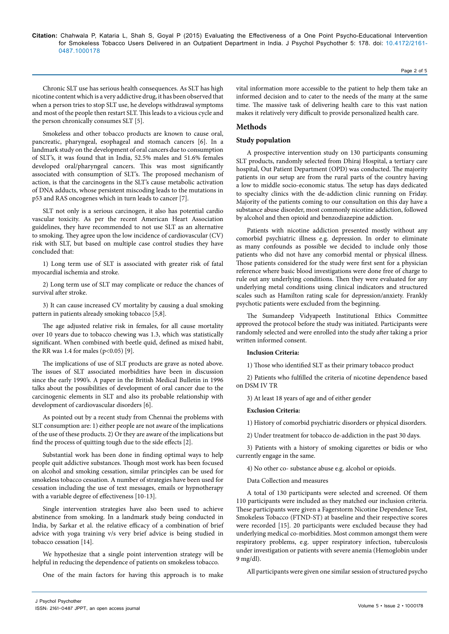Chronic SLT use has serious health consequences. As SLT has high nicotine content which is a very addictive drug, it has been observed that when a person tries to stop SLT use, he develops withdrawal symptoms and most of the people then restart SLT. This leads to a vicious cycle and the person chronically consumes SLT [5].

Smokeless and other tobacco products are known to cause oral, pancreatic, pharyngeal, esophageal and stomach cancers [6]. In a landmark study on the development of oral cancers due to consumption of SLT's, it was found that in India, 52.5% males and 51.6% females developed oral/pharyngeal cancers. This was most significantly associated with consumption of SLT's. The proposed mechanism of action, is that the carcinogens in the SLT's cause metabolic activation of DNA adducts, whose persistent miscoding leads to the mutations in p53 and RAS oncogenes which in turn leads to cancer [7].

SLT not only is a serious carcinogen, it also has potential cardio vascular toxicity. As per the recent American Heart Association guidelines, they have recommended to not use SLT as an alternative to smoking. They agree upon the low incidence of cardiovascular (CV) risk with SLT, but based on multiple case control studies they have concluded that:

1) Long term use of SLT is associated with greater risk of fatal myocardial ischemia and stroke.

2) Long term use of SLT may complicate or reduce the chances of survival after stroke.

3) It can cause increased CV mortality by causing a dual smoking pattern in patients already smoking tobacco [5,8].

The age adjusted relative risk in females, for all cause mortality over 10 years due to tobacco chewing was 1.3, which was statistically significant. When combined with beetle quid, defined as mixed habit, the RR was 1.4 for males ( $p<0.05$ ) [9].

The implications of use of SLT products are grave as noted above. The issues of SLT associated morbidities have been in discussion since the early 1990's. A paper in the British Medical Bulletin in 1996 talks about the possibilities of development of oral cancer due to the carcinogenic elements in SLT and also its probable relationship with development of cardiovascular disorders [6].

As pointed out by a recent study from Chennai the problems with SLT consumption are: 1) either people are not aware of the implications of the use of these products. 2) Or they are aware of the implications but find the process of quitting tough due to the side effects [2].

Substantial work has been done in finding optimal ways to help people quit addictive substances. Though most work has been focused on alcohol and smoking cessation, similar principles can be used for smokeless tobacco cessation. A number of strategies have been used for cessation including the use of text messages, emails or hypnotherapy with a variable degree of effectiveness [10-13].

Single intervention strategies have also been used to achieve abstinence from smoking. In a landmark study being conducted in India, by Sarkar et al. the relative efficacy of a combination of brief advice with yoga training v/s very brief advice is being studied in tobacco cessation [14].

We hypothesize that a single point intervention strategy will be helpful in reducing the dependence of patients on smokeless tobacco.

One of the main factors for having this approach is to make

vital information more accessible to the patient to help them take an informed decision and to cater to the needs of the many at the same time. The massive task of delivering health care to this vast nation makes it relatively very difficult to provide personalized health care.

Page 2 of 5

# **Methods**

## **Study population**

A prospective intervention study on 130 participants consuming SLT products, randomly selected from Dhiraj Hospital, a tertiary care hospital, Out Patient Department (OPD) was conducted. The majority patients in our setup are from the rural parts of the country having a low to middle socio-economic status. The setup has days dedicated to specialty clinics with the de-addiction clinic running on Friday. Majority of the patients coming to our consultation on this day have a substance abuse disorder, most commonly nicotine addiction, followed by alcohol and then opioid and benzodiazepine addiction.

Patients with nicotine addiction presented mostly without any comorbid psychiatric illness e.g. depression. In order to eliminate as many confounds as possible we decided to include only those patients who did not have any comorbid mental or physical illness. Those patients considered for the study were first sent for a physician reference where basic blood investigations were done free of charge to rule out any underlying conditions. Then they were evaluated for any underlying metal conditions using clinical indicators and structured scales such as Hamilton rating scale for depression/anxiety. Frankly psychotic patients were excluded from the beginning.

The Sumandeep Vidyapeeth Institutional Ethics Committee approved the protocol before the study was initiated. Participants were randomly selected and were enrolled into the study after taking a prior written informed consent.

#### **Inclusion Criteria:**

1) Those who identified SLT as their primary tobacco product

2) Patients who fulfilled the criteria of nicotine dependence based on DSM IV TR

3) At least 18 years of age and of either gender

## **Exclusion Criteria:**

1) History of comorbid psychiatric disorders or physical disorders.

2) Under treatment for tobacco de-addiction in the past 30 days.

3) Patients with a history of smoking cigarettes or bidis or who currently engage in the same.

4) No other co- substance abuse e.g. alcohol or opioids.

Data Collection and measures

A total of 130 participants were selected and screened. Of them 110 participants were included as they matched our inclusion criteria. These participants were given a Fagerstorm Nicotine Dependence Test, Smokeless Tobacco (FTND-ST) at baseline and their respective scores were recorded [15]. 20 participants were excluded because they had underlying medical co-morbidities. Most common amongst them were respiratory problems, e.g. upper respiratory infection, tuberculosis under investigation or patients with severe anemia (Hemoglobin under 9 mg/dl).

All participants were given one similar session of structured psycho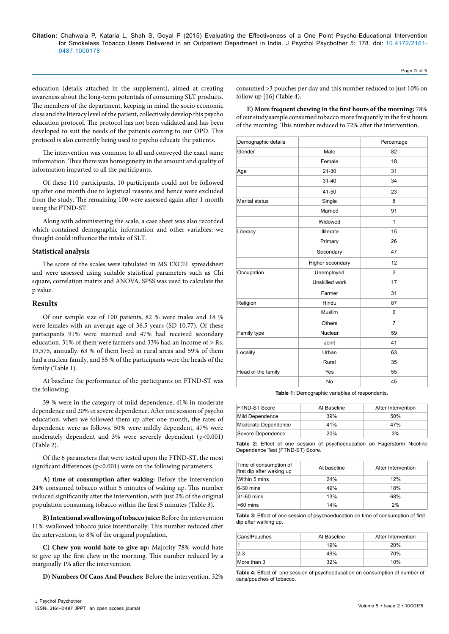education (details attached in the supplement), aimed at creating awareness about the long-term potentials of consuming SLT products. The members of the department, keeping in mind the socio economic class and the literacy level of the patient, collectively develop this psycho education protocol. The protocol has not been validated and has been developed to suit the needs of the patients coming to our OPD. This protocol is also currently being used to psycho educate the patients.

The intervention was common to all and conveyed the exact same information. Thus there was homogeneity in the amount and quality of information imparted to all the participants.

Of these 110 participants, 10 participants could not be followed up after one month due to logistical reasons and hence were excluded from the study. The remaining 100 were assessed again after 1 month using the FTND-ST.

Along with administering the scale, a case sheet was also recorded which contained demographic information and other variables; we thought could influence the intake of SLT.

#### **Statistical analysis**

The score of the scales were tabulated in MS EXCEL spreadsheet and were assessed using suitable statistical parameters such as Chi square, correlation matrix and ANOVA. SPSS was used to calculate the p value.

#### **Results**

Of our sample size of 100 patients, 82 % were males and 18 % were females with an average age of 36.5 years (SD 10.77). Of these participants 91% were married and 47% had received secondary education. 31% of them were farmers and 33% had an income of > Rs. 19,575, annually. 63 % of them lived in rural areas and 59% of them had a nuclear family, and 55 % of the participants were the heads of the family (Table 1).

At baseline the performance of the participants on FTND-ST was the following:

39 % were in the category of mild dependence, 41% in moderate dependence and 20% in severe dependence. After one session of psycho education, when we followed them up after one month, the rates of dependence were as follows. 50% were mildly dependent, 47% were moderately dependent and 3% were severely dependent (p<0.001) (Table 2).

Of the 6 parameters that were tested upon the FTND-ST, the most significant differences (p<0.001) were on the following parameters.

**A) time of consumption after waking:** Before the intervention 24% consumed tobacco within 5 minutes of waking up. This number reduced significantly after the intervention, with just 2% of the original population consuming tobacco within the first 5 minutes (Table 3).

**B) Intentional swallowing of tobacco juice:** Before the intervention 11% swallowed tobacco juice intentionally. This number reduced after the intervention, to 8% of the original population.

**C) Chew you would hate to give up:** Majority 78% would hate to give up the first chew in the morning. This number reduced by a marginally 1% after the intervention.

**D) Numbers Of Cans And Pouches:** Before the intervention, 32%

consumed >3 pouches per day and this number reduced to just 10% on follow up [16] (Table 4).

**E) More frequent chewing in the first hours of the morning:** 78% of our study sample consumed tobacco more frequently in the first hours of the morning. This number reduced to 72% after the intervention.

| Demographic details   |                  | Percentage     |
|-----------------------|------------------|----------------|
| Gender                | Male             | 82             |
|                       | Female           | 18             |
| Age                   | $21 - 30$        | 31             |
|                       | $31 - 40$        | 34             |
|                       | 41-50            | 23             |
| <b>Marital status</b> | Single           | 8              |
|                       | Married          | 91             |
|                       | Widowed          | 1              |
| Literacy              | Illiterate       | 15             |
|                       | Primary          | 26             |
|                       | Secondary        | 47             |
|                       | Higher secondary | 12             |
| Occupation            | Unemployed       | $\overline{2}$ |
|                       | Unskilled work   | 17             |
|                       | Farmer           | 31             |
| Religion              | Hindu            | 87             |
|                       | Muslim           | 6              |
|                       | <b>Others</b>    | $\overline{7}$ |
| Family type           | Nuclear          | 59             |
|                       | Joint            | 41             |
| Locality              | Urban            | 63             |
|                       | Rural            | 35             |
| Head of the family    | Yes              | 55             |
|                       | No               | 45             |

**Table 1:** Demographic variables of respondents.

| FTND-ST Score       | At Baseline | After Intervention |
|---------------------|-------------|--------------------|
| Mild Dependence     | 39%         | 50%                |
| Moderate Dependence | 41%         | 47%                |
| Severe Dependence   | 20%         | 3%                 |

**Table 2:** Effect of one session of psychoeducation on Fagerstorm Nicotine Dependence Test (FTND-ST) Score.

| Time of consumption of<br>first dip after waking up | At baseline | After Intervention |
|-----------------------------------------------------|-------------|--------------------|
| Within 5 mins                                       | 24%         | 12%                |
| 6-30 mins                                           | 49%         | 18%                |
| 31-60 mins                                          | 13%         | 68%                |
| $>60$ mins                                          | 14%         | 2%                 |

**Table 3:** Effect of one session of psychoeducation on time of consumption of first dip after walking up.

| Cans/Pouches | At Baseline | After Intervention |
|--------------|-------------|--------------------|
|              | 19%         | 20%                |
| $2 - 3$      | 49%         | 70%                |
| More than 3  | 32%         | 10%                |

**Table 4:** Effect of one session of psychoeducation on consumption of number of cans/pouches of tobacco.

Page 3 of 5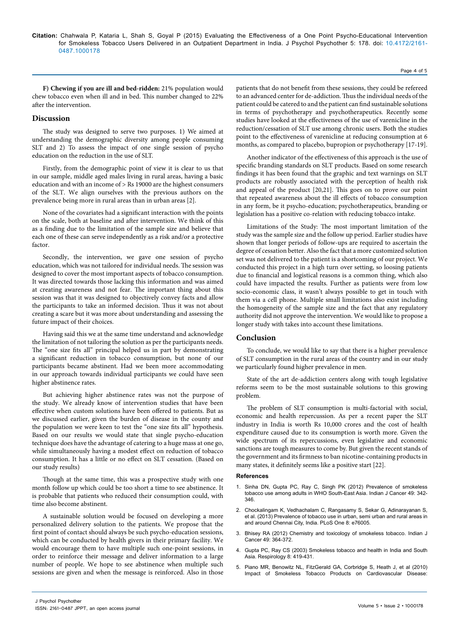Page 4 of 5

**F) Chewing if you are ill and bed-ridden:** 21% population would chew tobacco even when ill and in bed. This number changed to 22% after the intervention.

## **Discussion**

The study was designed to serve two purposes. 1) We aimed at understanding the demographic diversity among people consuming SLT and 2) To assess the impact of one single session of psycho education on the reduction in the use of SLT.

Firstly, from the demographic point of view it is clear to us that in our sample, middle aged males living in rural areas, having a basic education and with an income of > Rs 19000 are the highest consumers of the SLT. We align ourselves with the previous authors on the prevalence being more in rural areas than in urban areas [2].

None of the covariates had a significant interaction with the points on the scale, both at baseline and after intervention. We think of this as a finding due to the limitation of the sample size and believe that each one of these can serve independently as a risk and/or a protective factor.

Secondly, the intervention, we gave one session of psycho education, which was not tailored for individual needs. The session was designed to cover the most important aspects of tobacco consumption. It was directed towards those lacking this information and was aimed at creating awareness and not fear. The important thing about this session was that it was designed to objectively convey facts and allow the participants to take an informed decision. Thus it was not about creating a scare but it was more about understanding and assessing the future impact of their choices.

Having said this we at the same time understand and acknowledge the limitation of not tailoring the solution as per the participants needs. The "one size fits all" principal helped us in part by demonstrating a significant reduction in tobacco consumption, but none of our participants became abstinent. Had we been more accommodating in our approach towards individual participants we could have seen higher abstinence rates.

But achieving higher abstinence rates was not the purpose of the study. We already know of intervention studies that have been effective when custom solutions have been offered to patients. But as we discussed earlier, given the burden of disease in the county and the population we were keen to test the "one size fits all" hypothesis. Based on our results we would state that single psycho-education technique does have the advantage of catering to a huge mass at one go, while simultaneously having a modest effect on reduction of tobacco consumption. It has a little or no effect on SLT cessation. (Based on our study results)

Though at the same time, this was a prospective study with one month follow up which could be too short a time to see abstinence. It is probable that patients who reduced their consumption could, with time also become abstinent.

A sustainable solution would be focused on developing a more personalized delivery solution to the patients. We propose that the first point of contact should always be such psycho-education sessions, which can be conducted by health givers in their primary facility. We would encourage them to have multiple such one-point sessions, in order to reinforce their message and deliver information to a large number of people. We hope to see abstinence when multiple such sessions are given and when the message is reinforced. Also in those patients that do not benefit from these sessions, they could be refereed to an advanced center for de-addiction. Thus the individual needs of the patient could be catered to and the patient can find sustainable solutions in terms of psychotherapy and psychotherapeutics. Recently some studies have looked at the effectiveness of the use of varenicline in the reduction/cessation of SLT use among chronic users. Both the studies point to the effectiveness of varenicline at reducing consumption at 6 months, as compared to placebo, bupropion or psychotherapy [17-19].

Another indicator of the effectiveness of this approach is the use of specific branding standards on SLT products. Based on some research findings it has been found that the graphic and text warnings on SLT products are robustly associated with the perception of health risk and appeal of the product [20,21]. This goes on to prove our point that repeated awareness about the ill effects of tobacco consumption in any form, be it psycho-education; psychotherapeutics, branding or legislation has a positive co-relation with reducing tobacco intake.

Limitations of the Study: The most important limitation of the study was the sample size and the follow up period. Earlier studies have shown that longer periods of follow-ups are required to ascertain the degree of cessation better. Also the fact that a more customized solution set was not delivered to the patient is a shortcoming of our project. We conducted this project in a high turn over setting, so loosing patients due to financial and logistical reasons is a common thing, which also could have impacted the results. Further as patients were from low socio-economic class, it wasn't always possible to get in touch with them via a cell phone. Multiple small limitations also exist including the homogeneity of the sample size and the fact that any regulatory authority did not approve the intervention. We would like to propose a longer study with takes into account these limitations.

## **Conclusion**

To conclude, we would like to say that there is a higher prevalence of SLT consumption in the rural areas of the country and in our study we particularly found higher prevalence in men.

State of the art de-addiction centers along with tough legislative reforms seem to be the most sustainable solutions to this growing problem.

The problem of SLT consumption is multi-factorial with social, economic and health repercussion. As per a recent paper the SLT industry in India is worth Rs 10,000 crores and the cost of health expenditure caused due to its consumption is worth more. Given the wide spectrum of its repercussions, even legislative and economic sanctions are tough measures to come by. But given the recent stands of the government and its firmness to ban nicotine-containing products in many states, it definitely seems like a positive start [22].

#### **References**

- 1. [Sinha DN, Gupta PC, Ray C, Singh PK \(2012\) Prevalence of smokeless](http://www.ncbi.nlm.nih.gov/pubmed/23442396) [tobacco use among adults in WHO South-East Asia. Indian J Cancer 49: 342-](http://www.ncbi.nlm.nih.gov/pubmed/23442396) [346.](http://www.ncbi.nlm.nih.gov/pubmed/23442396)
- 2. [Chockalingam K, Vedhachalam C, Rangasamy S, Sekar G, Adinarayanan S,](http://www.ncbi.nlm.nih.gov/pubmed/24098418) [et al. \(2013\) Prevalence of tobacco use in urban, semi urban and rural areas in](http://www.ncbi.nlm.nih.gov/pubmed/24098418)  [and around Chennai City, India. PLoS One 8: e76005.](http://www.ncbi.nlm.nih.gov/pubmed/24098418)
- 3. [Bhisey RA \(2012\) Chemistry and toxicology of smokeless tobacco. Indian J](http://www.ncbi.nlm.nih.gov/pubmed/23442400) [Cancer 49: 364-372.](http://www.ncbi.nlm.nih.gov/pubmed/23442400)
- 4. [Gupta PC, Ray CS \(2003\) Smokeless tobacco and health in India and South](http://www.ncbi.nlm.nih.gov/pubmed/14708551) [Asia. Respirology 8: 419-431.](http://www.ncbi.nlm.nih.gov/pubmed/14708551)
- 5. [Piano MR, Benowitz NL, FitzGerald GA, Corbridge S, Heath J, et al \(2010\)](http://www.ncbi.nlm.nih.gov/pubmed/20837898) [Impact of Smokeless Tobacco Products on Cardiovascular Disease:](http://www.ncbi.nlm.nih.gov/pubmed/20837898)